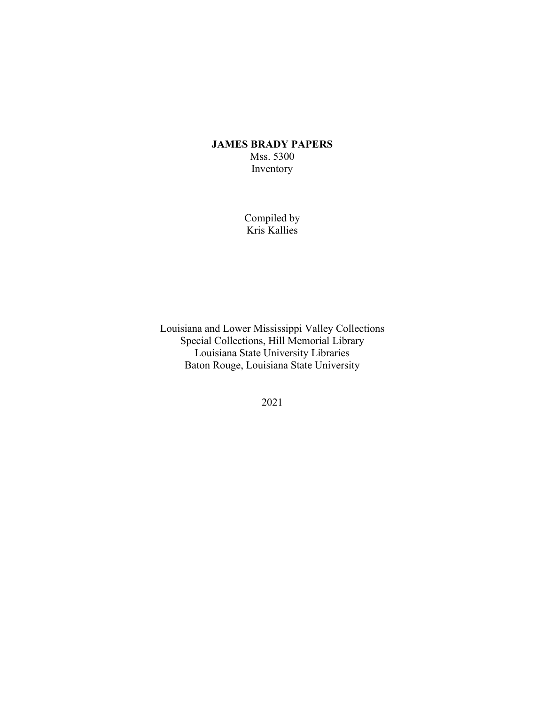## **JAMES BRADY PAPERS** Mss. 5300 Inventory

Compiled by Kris Kallies

Louisiana and Lower Mississippi Valley Collections Special Collections, Hill Memorial Library Louisiana State University Libraries Baton Rouge, Louisiana State University

2021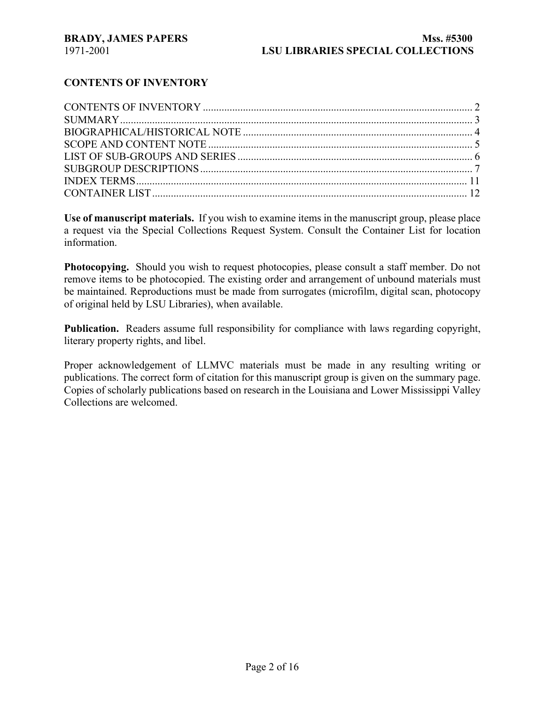## **CONTENTS OF INVENTORY**

**Use of manuscript materials.** If you wish to examine items in the manuscript group, please place a request via the Special Collections Request System. Consult the Container List for location information.

**Photocopying.** Should you wish to request photocopies, please consult a staff member. Do not remove items to be photocopied. The existing order and arrangement of unbound materials must be maintained. Reproductions must be made from surrogates (microfilm, digital scan, photocopy of original held by LSU Libraries), when available.

**Publication.** Readers assume full responsibility for compliance with laws regarding copyright, literary property rights, and libel.

Proper acknowledgement of LLMVC materials must be made in any resulting writing or publications. The correct form of citation for this manuscript group is given on the summary page. Copies of scholarly publications based on research in the Louisiana and Lower Mississippi Valley Collections are welcomed.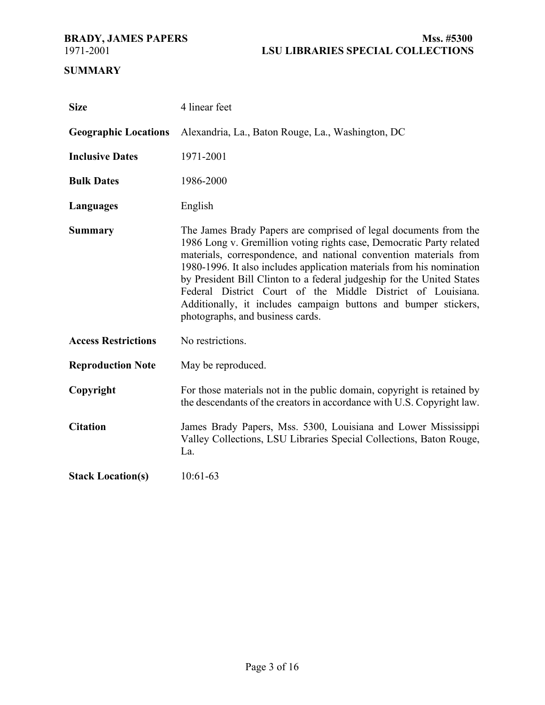# **SUMMARY**

| <b>Size</b>                 | 4 linear feet                                                                                                                                                                                                                                                                                                                                                                                                                                                                                                                          |
|-----------------------------|----------------------------------------------------------------------------------------------------------------------------------------------------------------------------------------------------------------------------------------------------------------------------------------------------------------------------------------------------------------------------------------------------------------------------------------------------------------------------------------------------------------------------------------|
| <b>Geographic Locations</b> | Alexandria, La., Baton Rouge, La., Washington, DC                                                                                                                                                                                                                                                                                                                                                                                                                                                                                      |
| <b>Inclusive Dates</b>      | 1971-2001                                                                                                                                                                                                                                                                                                                                                                                                                                                                                                                              |
| <b>Bulk Dates</b>           | 1986-2000                                                                                                                                                                                                                                                                                                                                                                                                                                                                                                                              |
| Languages                   | English                                                                                                                                                                                                                                                                                                                                                                                                                                                                                                                                |
| <b>Summary</b>              | The James Brady Papers are comprised of legal documents from the<br>1986 Long v. Gremillion voting rights case, Democratic Party related<br>materials, correspondence, and national convention materials from<br>1980-1996. It also includes application materials from his nomination<br>by President Bill Clinton to a federal judgeship for the United States<br>Federal District Court of the Middle District of Louisiana.<br>Additionally, it includes campaign buttons and bumper stickers,<br>photographs, and business cards. |
| <b>Access Restrictions</b>  | No restrictions.                                                                                                                                                                                                                                                                                                                                                                                                                                                                                                                       |
| <b>Reproduction Note</b>    | May be reproduced.                                                                                                                                                                                                                                                                                                                                                                                                                                                                                                                     |
| Copyright                   | For those materials not in the public domain, copyright is retained by<br>the descendants of the creators in accordance with U.S. Copyright law.                                                                                                                                                                                                                                                                                                                                                                                       |
| <b>Citation</b>             | James Brady Papers, Mss. 5300, Louisiana and Lower Mississippi<br>Valley Collections, LSU Libraries Special Collections, Baton Rouge,<br>La.                                                                                                                                                                                                                                                                                                                                                                                           |
| <b>Stack Location(s)</b>    | 10:61-63                                                                                                                                                                                                                                                                                                                                                                                                                                                                                                                               |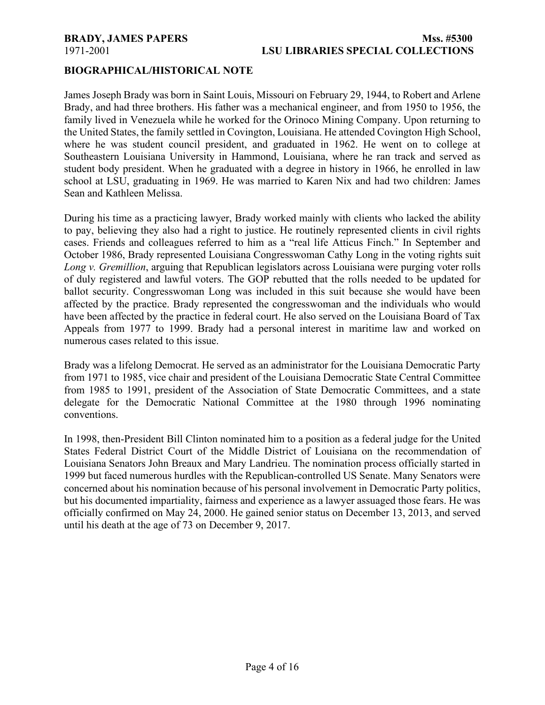## **BIOGRAPHICAL/HISTORICAL NOTE**

James Joseph Brady was born in Saint Louis, Missouri on February 29, 1944, to Robert and Arlene Brady, and had three brothers. His father was a mechanical engineer, and from 1950 to 1956, the family lived in Venezuela while he worked for the Orinoco Mining Company. Upon returning to the United States, the family settled in Covington, Louisiana. He attended Covington High School, where he was student council president, and graduated in 1962. He went on to college at Southeastern Louisiana University in Hammond, Louisiana, where he ran track and served as student body president. When he graduated with a degree in history in 1966, he enrolled in law school at LSU, graduating in 1969. He was married to Karen Nix and had two children: James Sean and Kathleen Melissa.

During his time as a practicing lawyer, Brady worked mainly with clients who lacked the ability to pay, believing they also had a right to justice. He routinely represented clients in civil rights cases. Friends and colleagues referred to him as a "real life Atticus Finch." In September and October 1986, Brady represented Louisiana Congresswoman Cathy Long in the voting rights suit *Long v. Gremillion*, arguing that Republican legislators across Louisiana were purging voter rolls of duly registered and lawful voters. The GOP rebutted that the rolls needed to be updated for ballot security. Congresswoman Long was included in this suit because she would have been affected by the practice. Brady represented the congresswoman and the individuals who would have been affected by the practice in federal court. He also served on the Louisiana Board of Tax Appeals from 1977 to 1999. Brady had a personal interest in maritime law and worked on numerous cases related to this issue.

Brady was a lifelong Democrat. He served as an administrator for the Louisiana Democratic Party from 1971 to 1985, vice chair and president of the Louisiana Democratic State Central Committee from 1985 to 1991, president of the Association of State Democratic Committees, and a state delegate for the Democratic National Committee at the 1980 through 1996 nominating conventions.

In 1998, then-President Bill Clinton nominated him to a position as a federal judge for the United States Federal District Court of the Middle District of Louisiana on the recommendation of Louisiana Senators John Breaux and Mary Landrieu. The nomination process officially started in 1999 but faced numerous hurdles with the Republican-controlled US Senate. Many Senators were concerned about his nomination because of his personal involvement in Democratic Party politics, but his documented impartiality, fairness and experience as a lawyer assuaged those fears. He was officially confirmed on May 24, 2000. He gained senior status on December 13, 2013, and served until his death at the age of 73 on December 9, 2017.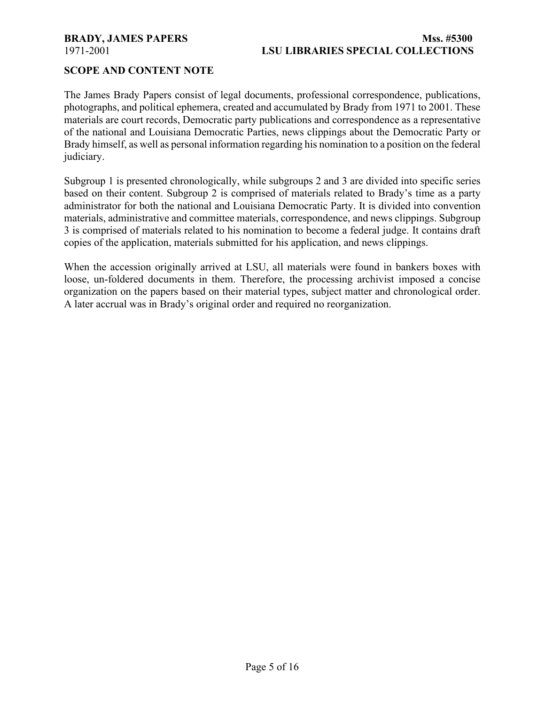## **SCOPE AND CONTENT NOTE**

The James Brady Papers consist of legal documents, professional correspondence, publications, photographs, and political ephemera, created and accumulated by Brady from 1971 to 2001. These materials are court records, Democratic party publications and correspondence as a representative of the national and Louisiana Democratic Parties, news clippings about the Democratic Party or Brady himself, as well as personal information regarding his nomination to a position on the federal judiciary.

Subgroup 1 is presented chronologically, while subgroups 2 and 3 are divided into specific series based on their content. Subgroup 2 is comprised of materials related to Brady's time as a party administrator for both the national and Louisiana Democratic Party. It is divided into convention materials, administrative and committee materials, correspondence, and news clippings. Subgroup 3 is comprised of materials related to his nomination to become a federal judge. It contains draft copies of the application, materials submitted for his application, and news clippings.

When the accession originally arrived at LSU, all materials were found in bankers boxes with loose, un-foldered documents in them. Therefore, the processing archivist imposed a concise organization on the papers based on their material types, subject matter and chronological order. A later accrual was in Brady's original order and required no reorganization.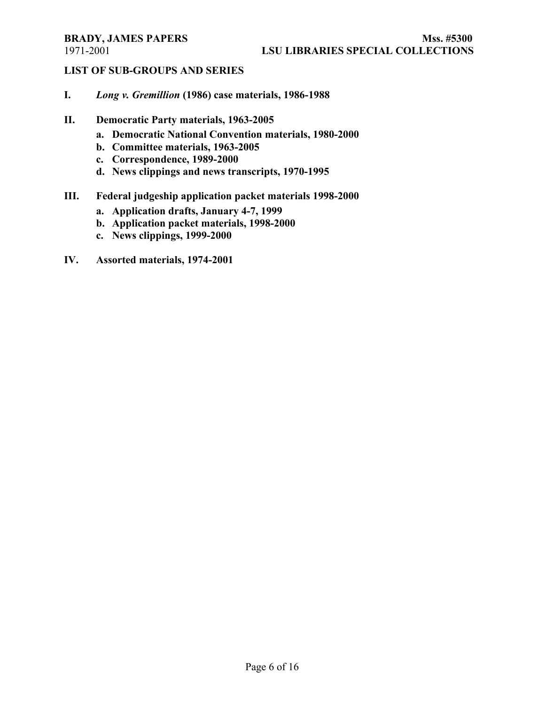# **LIST OF SUB-GROUPS AND SERIES**

- **I.** *Long v. Gremillion* **(1986) case materials, 1986-1988**
- **II. Democratic Party materials, 1963-2005**
	- **a. Democratic National Convention materials, 1980-2000**
	- **b. Committee materials, 1963-2005**
	- **c. Correspondence, 1989-2000**
	- **d. News clippings and news transcripts, 1970-1995**

# **III. Federal judgeship application packet materials 1998-2000**

- **a. Application drafts, January 4-7, 1999**
- **b. Application packet materials, 1998-2000**
- **c. News clippings, 1999-2000**
- **IV. Assorted materials, 1974-2001**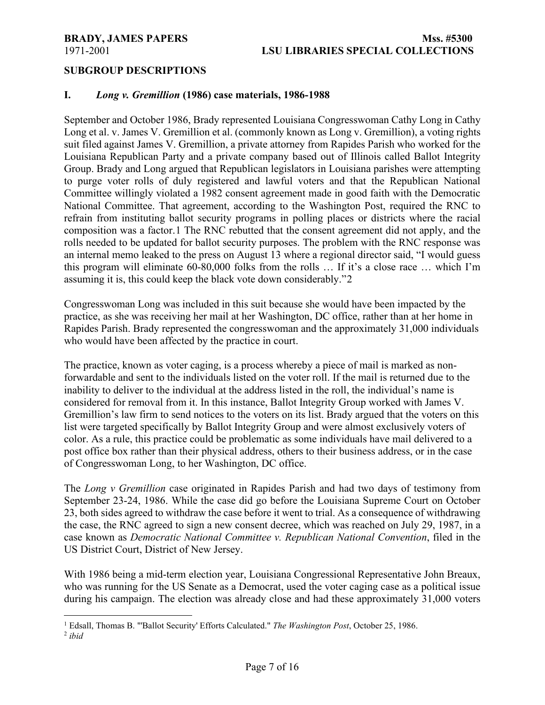## **SUBGROUP DESCRIPTIONS**

### **I.** *Long v. Gremillion* **(1986) case materials, 1986-1988**

September and October 1986, Brady represented Louisiana Congresswoman Cathy Long in Cathy Long et al. v. James V. Gremillion et al. (commonly known as Long v. Gremillion), a voting rights suit filed against James V. Gremillion, a private attorney from Rapides Parish who worked for the Louisiana Republican Party and a private company based out of Illinois called Ballot Integrity Group. Brady and Long argued that Republican legislators in Louisiana parishes were attempting to purge voter rolls of duly registered and lawful voters and that the Republican National Committee willingly violated a 1982 consent agreement made in good faith with the Democratic National Committee. That agreement, according to the Washington Post, required the RNC to refrain from instituting ballot security programs in polling places or districts where the racial composition was a factor.[1](#page-6-0) The RNC rebutted that the consent agreement did not apply, and the rolls needed to be updated for ballot security purposes. The problem with the RNC response was an internal memo leaked to the press on August 13 where a regional director said, "I would guess this program will eliminate 60-80,000 folks from the rolls … If it's a close race … which I'm assuming it is, this could keep the black vote down considerably."[2](#page-6-1)

Congresswoman Long was included in this suit because she would have been impacted by the practice, as she was receiving her mail at her Washington, DC office, rather than at her home in Rapides Parish. Brady represented the congresswoman and the approximately 31,000 individuals who would have been affected by the practice in court.

The practice, known as voter caging, is a process whereby a piece of mail is marked as nonforwardable and sent to the individuals listed on the voter roll. If the mail is returned due to the inability to deliver to the individual at the address listed in the roll, the individual's name is considered for removal from it. In this instance, Ballot Integrity Group worked with James V. Gremillion's law firm to send notices to the voters on its list. Brady argued that the voters on this list were targeted specifically by Ballot Integrity Group and were almost exclusively voters of color. As a rule, this practice could be problematic as some individuals have mail delivered to a post office box rather than their physical address, others to their business address, or in the case of Congresswoman Long, to her Washington, DC office.

The *Long v Gremillion* case originated in Rapides Parish and had two days of testimony from September 23-24, 1986. While the case did go before the Louisiana Supreme Court on October 23, both sides agreed to withdraw the case before it went to trial. As a consequence of withdrawing the case, the RNC agreed to sign a new consent decree, which was reached on July 29, 1987, in a case known as *Democratic National Committee v. Republican National Convention*, filed in the US District Court, District of New Jersey.

With 1986 being a mid-term election year, Louisiana Congressional Representative John Breaux, who was running for the US Senate as a Democrat, used the voter caging case as a political issue during his campaign. The election was already close and had these approximately 31,000 voters

<span id="page-6-0"></span><sup>1</sup> Edsall, Thomas B. "'Ballot Security' Efforts Calculated." *The Washington Post*, October 25, 1986.

<span id="page-6-1"></span><sup>2</sup> *ibid*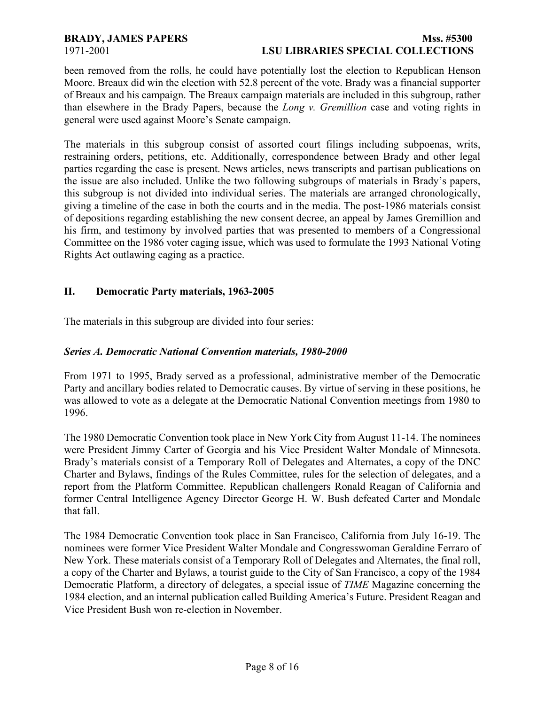### **BRADY, JAMES PAPERS Mss. #5300** 1971-2001 **LSU LIBRARIES SPECIAL COLLECTIONS**

been removed from the rolls, he could have potentially lost the election to Republican Henson Moore. Breaux did win the election with 52.8 percent of the vote. Brady was a financial supporter of Breaux and his campaign. The Breaux campaign materials are included in this subgroup, rather than elsewhere in the Brady Papers, because the *Long v. Gremillion* case and voting rights in general were used against Moore's Senate campaign.

The materials in this subgroup consist of assorted court filings including subpoenas, writs, restraining orders, petitions, etc. Additionally, correspondence between Brady and other legal parties regarding the case is present. News articles, news transcripts and partisan publications on the issue are also included. Unlike the two following subgroups of materials in Brady's papers, this subgroup is not divided into individual series. The materials are arranged chronologically, giving a timeline of the case in both the courts and in the media. The post-1986 materials consist of depositions regarding establishing the new consent decree, an appeal by James Gremillion and his firm, and testimony by involved parties that was presented to members of a Congressional Committee on the 1986 voter caging issue, which was used to formulate the 1993 National Voting Rights Act outlawing caging as a practice.

### **II. Democratic Party materials, 1963-2005**

The materials in this subgroup are divided into four series:

## *Series A. Democratic National Convention materials, 1980-2000*

From 1971 to 1995, Brady served as a professional, administrative member of the Democratic Party and ancillary bodies related to Democratic causes. By virtue of serving in these positions, he was allowed to vote as a delegate at the Democratic National Convention meetings from 1980 to 1996.

The 1980 Democratic Convention took place in New York City from August 11-14. The nominees were President Jimmy Carter of Georgia and his Vice President Walter Mondale of Minnesota. Brady's materials consist of a Temporary Roll of Delegates and Alternates, a copy of the DNC Charter and Bylaws, findings of the Rules Committee, rules for the selection of delegates, and a report from the Platform Committee. Republican challengers Ronald Reagan of California and former Central Intelligence Agency Director George H. W. Bush defeated Carter and Mondale that fall.

The 1984 Democratic Convention took place in San Francisco, California from July 16-19. The nominees were former Vice President Walter Mondale and Congresswoman Geraldine Ferraro of New York. These materials consist of a Temporary Roll of Delegates and Alternates, the final roll, a copy of the Charter and Bylaws, a tourist guide to the City of San Francisco, a copy of the 1984 Democratic Platform, a directory of delegates, a special issue of *TIME* Magazine concerning the 1984 election, and an internal publication called Building America's Future. President Reagan and Vice President Bush won re-election in November.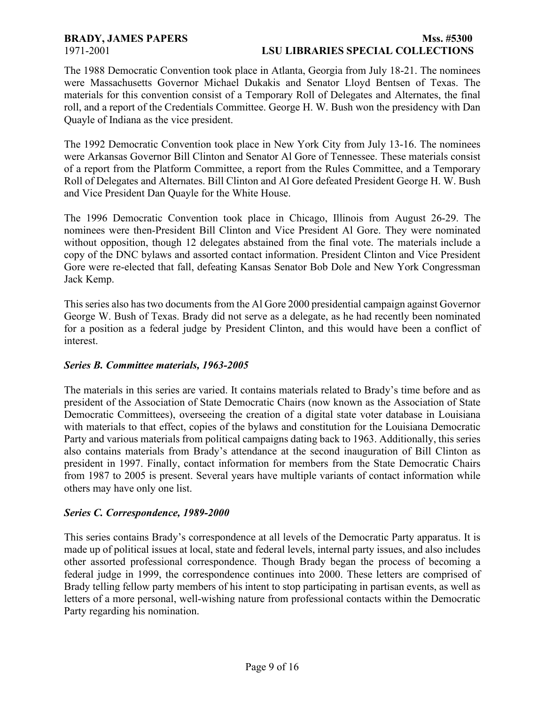## **BRADY, JAMES PAPERS Mss. #5300** 1971-2001 **LSU LIBRARIES SPECIAL COLLECTIONS**

The 1988 Democratic Convention took place in Atlanta, Georgia from July 18-21. The nominees were Massachusetts Governor Michael Dukakis and Senator Lloyd Bentsen of Texas. The materials for this convention consist of a Temporary Roll of Delegates and Alternates, the final roll, and a report of the Credentials Committee. George H. W. Bush won the presidency with Dan Quayle of Indiana as the vice president.

The 1992 Democratic Convention took place in New York City from July 13-16. The nominees were Arkansas Governor Bill Clinton and Senator Al Gore of Tennessee. These materials consist of a report from the Platform Committee, a report from the Rules Committee, and a Temporary Roll of Delegates and Alternates. Bill Clinton and Al Gore defeated President George H. W. Bush and Vice President Dan Quayle for the White House.

The 1996 Democratic Convention took place in Chicago, Illinois from August 26-29. The nominees were then-President Bill Clinton and Vice President Al Gore. They were nominated without opposition, though 12 delegates abstained from the final vote. The materials include a copy of the DNC bylaws and assorted contact information. President Clinton and Vice President Gore were re-elected that fall, defeating Kansas Senator Bob Dole and New York Congressman Jack Kemp.

This series also has two documents from the Al Gore 2000 presidential campaign against Governor George W. Bush of Texas. Brady did not serve as a delegate, as he had recently been nominated for a position as a federal judge by President Clinton, and this would have been a conflict of interest.

## *Series B. Committee materials, 1963-2005*

The materials in this series are varied. It contains materials related to Brady's time before and as president of the Association of State Democratic Chairs (now known as the Association of State Democratic Committees), overseeing the creation of a digital state voter database in Louisiana with materials to that effect, copies of the bylaws and constitution for the Louisiana Democratic Party and various materials from political campaigns dating back to 1963. Additionally, this series also contains materials from Brady's attendance at the second inauguration of Bill Clinton as president in 1997. Finally, contact information for members from the State Democratic Chairs from 1987 to 2005 is present. Several years have multiple variants of contact information while others may have only one list.

### *Series C. Correspondence, 1989-2000*

This series contains Brady's correspondence at all levels of the Democratic Party apparatus. It is made up of political issues at local, state and federal levels, internal party issues, and also includes other assorted professional correspondence. Though Brady began the process of becoming a federal judge in 1999, the correspondence continues into 2000. These letters are comprised of Brady telling fellow party members of his intent to stop participating in partisan events, as well as letters of a more personal, well-wishing nature from professional contacts within the Democratic Party regarding his nomination.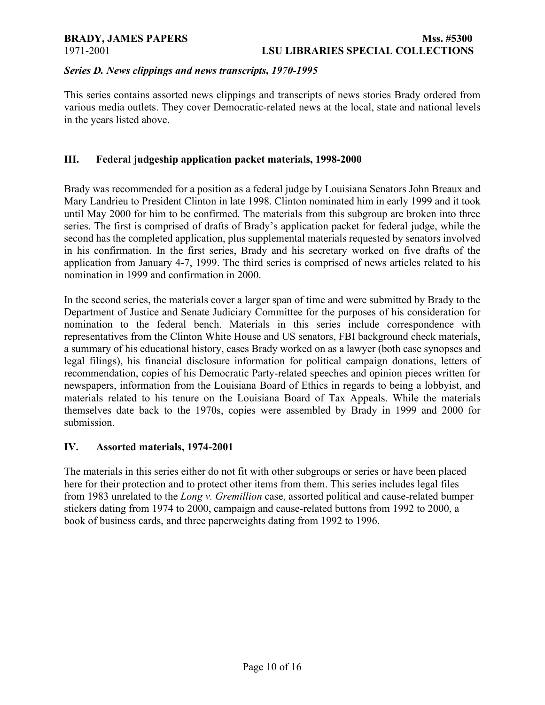### *Series D. News clippings and news transcripts, 1970-1995*

This series contains assorted news clippings and transcripts of news stories Brady ordered from various media outlets. They cover Democratic-related news at the local, state and national levels in the years listed above.

### **III. Federal judgeship application packet materials, 1998-2000**

Brady was recommended for a position as a federal judge by Louisiana Senators John Breaux and Mary Landrieu to President Clinton in late 1998. Clinton nominated him in early 1999 and it took until May 2000 for him to be confirmed. The materials from this subgroup are broken into three series. The first is comprised of drafts of Brady's application packet for federal judge, while the second has the completed application, plus supplemental materials requested by senators involved in his confirmation. In the first series, Brady and his secretary worked on five drafts of the application from January 4-7, 1999. The third series is comprised of news articles related to his nomination in 1999 and confirmation in 2000.

In the second series, the materials cover a larger span of time and were submitted by Brady to the Department of Justice and Senate Judiciary Committee for the purposes of his consideration for nomination to the federal bench. Materials in this series include correspondence with representatives from the Clinton White House and US senators, FBI background check materials, a summary of his educational history, cases Brady worked on as a lawyer (both case synopses and legal filings), his financial disclosure information for political campaign donations, letters of recommendation, copies of his Democratic Party-related speeches and opinion pieces written for newspapers, information from the Louisiana Board of Ethics in regards to being a lobbyist, and materials related to his tenure on the Louisiana Board of Tax Appeals. While the materials themselves date back to the 1970s, copies were assembled by Brady in 1999 and 2000 for submission.

### **IV. Assorted materials, 1974-2001**

The materials in this series either do not fit with other subgroups or series or have been placed here for their protection and to protect other items from them. This series includes legal files from 1983 unrelated to the *Long v. Gremillion* case, assorted political and cause-related bumper stickers dating from 1974 to 2000, campaign and cause-related buttons from 1992 to 2000, a book of business cards, and three paperweights dating from 1992 to 1996.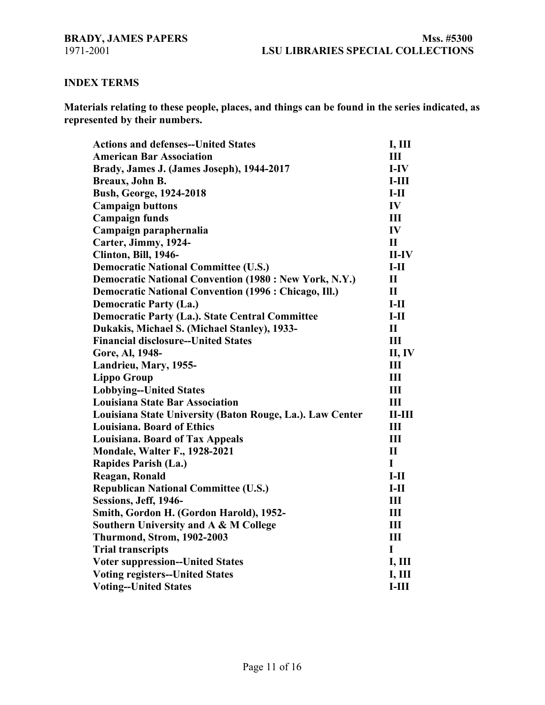## **INDEX TERMS**

**Materials relating to these people, places, and things can be found in the series indicated, as represented by their numbers.**

| <b>Actions and defenses--United States</b>                    | I, III        |
|---------------------------------------------------------------|---------------|
| <b>American Bar Association</b>                               | Ш             |
| Brady, James J. (James Joseph), 1944-2017                     | $I-IV$        |
| Breaux, John B.                                               | $I-III$       |
| <b>Bush, George, 1924-2018</b>                                | $I-II$        |
| <b>Campaign buttons</b>                                       | IV            |
| <b>Campaign funds</b>                                         | III           |
| Campaign paraphernalia                                        | IV            |
| Carter, Jimmy, 1924-                                          | $\mathbf{I}$  |
| Clinton, Bill, 1946-                                          | $II$ -IV      |
| <b>Democratic National Committee (U.S.)</b>                   | $I-II$        |
| <b>Democratic National Convention (1980 : New York, N.Y.)</b> | $\mathbf{I}$  |
| <b>Democratic National Convention (1996 : Chicago, Ill.)</b>  | $\mathbf{I}$  |
| <b>Democratic Party (La.)</b>                                 | $I-II$        |
| <b>Democratic Party (La.). State Central Committee</b>        | $I-II$        |
| Dukakis, Michael S. (Michael Stanley), 1933-                  | $\mathbf{I}$  |
| <b>Financial disclosure--United States</b>                    | Ш             |
| Gore, Al, 1948-                                               | II, IV        |
| Landrieu, Mary, 1955-                                         | Ш             |
| <b>Lippo Group</b>                                            | III           |
| <b>Lobbying--United States</b>                                | III           |
| <b>Louisiana State Bar Association</b>                        | III           |
| Louisiana State University (Baton Rouge, La.). Law Center     | $II$ - $III$  |
| <b>Louisiana. Board of Ethics</b>                             | III           |
| <b>Louisiana. Board of Tax Appeals</b>                        | III           |
| <b>Mondale, Walter F., 1928-2021</b>                          | $\mathbf{I}$  |
| Rapides Parish (La.)                                          | $\mathbf I$   |
| Reagan, Ronald                                                | $I-II$        |
| <b>Republican National Committee (U.S.)</b>                   | $I-II$        |
| Sessions, Jeff, 1946-                                         | III           |
| Smith, Gordon H. (Gordon Harold), 1952-                       | $\mathbf{I}$  |
| Southern University and A & M College                         | $\mathbf{I}$  |
| <b>Thurmond, Strom, 1902-2003</b>                             | III           |
| <b>Trial transcripts</b>                                      | I             |
| <b>Voter suppression--United States</b>                       | <b>I, III</b> |
| <b>Voting registers--United States</b>                        | <b>I, III</b> |
| <b>Voting--United States</b>                                  | $I-III$       |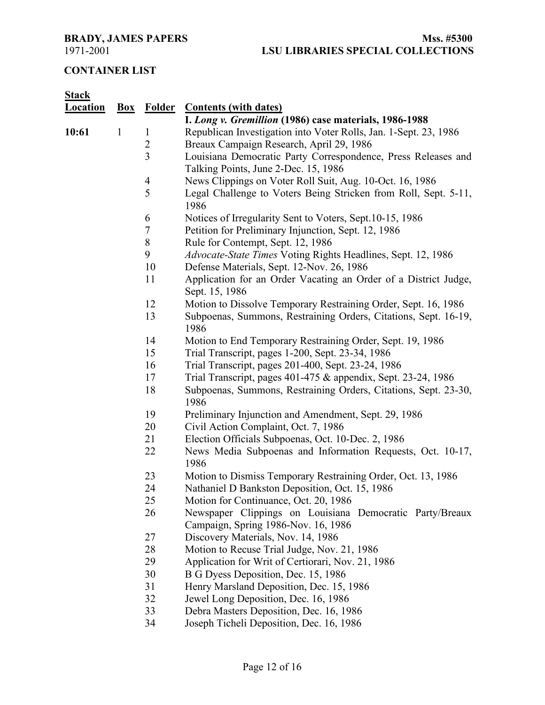# **CONTAINER LIST**

| <b>Stack</b>    |              |                  |                                                                                                       |
|-----------------|--------------|------------------|-------------------------------------------------------------------------------------------------------|
| <b>Location</b> |              |                  | <b>Box</b> Folder Contents (with dates)                                                               |
|                 |              |                  | I. Long v. Gremillion (1986) case materials, 1986-1988                                                |
| 10:61           | $\mathbf{1}$ | $\mathbf{1}$     | Republican Investigation into Voter Rolls, Jan. 1-Sept. 23, 1986                                      |
|                 |              | $\overline{2}$   | Breaux Campaign Research, April 29, 1986                                                              |
|                 |              | $\overline{3}$   | Louisiana Democratic Party Correspondence, Press Releases and<br>Talking Points, June 2-Dec. 15, 1986 |
|                 |              | 4                | News Clippings on Voter Roll Suit, Aug. 10-Oct. 16, 1986                                              |
|                 |              | 5                | Legal Challenge to Voters Being Stricken from Roll, Sept. 5-11,<br>1986                               |
|                 |              | 6                | Notices of Irregularity Sent to Voters, Sept.10-15, 1986                                              |
|                 |              | $\boldsymbol{7}$ | Petition for Preliminary Injunction, Sept. 12, 1986                                                   |
|                 |              | 8                | Rule for Contempt, Sept. 12, 1986                                                                     |
|                 |              | 9                | Advocate-State Times Voting Rights Headlines, Sept. 12, 1986                                          |
|                 |              | 10               | Defense Materials, Sept. 12-Nov. 26, 1986                                                             |
|                 |              | 11               | Application for an Order Vacating an Order of a District Judge,<br>Sept. 15, 1986                     |
|                 |              | 12               | Motion to Dissolve Temporary Restraining Order, Sept. 16, 1986                                        |
|                 |              | 13               | Subpoenas, Summons, Restraining Orders, Citations, Sept. 16-19,<br>1986                               |
|                 |              | 14               | Motion to End Temporary Restraining Order, Sept. 19, 1986                                             |
|                 |              | 15               | Trial Transcript, pages 1-200, Sept. 23-34, 1986                                                      |
|                 |              | 16               | Trial Transcript, pages 201-400, Sept. 23-24, 1986                                                    |
|                 |              | 17               | Trial Transcript, pages 401-475 & appendix, Sept. 23-24, 1986                                         |
|                 |              | 18               | Subpoenas, Summons, Restraining Orders, Citations, Sept. 23-30,<br>1986                               |
|                 |              | 19               | Preliminary Injunction and Amendment, Sept. 29, 1986                                                  |
|                 |              | 20               | Civil Action Complaint, Oct. 7, 1986                                                                  |
|                 |              | 21               | Election Officials Subpoenas, Oct. 10-Dec. 2, 1986                                                    |
|                 |              | 22               | News Media Subpoenas and Information Requests, Oct. 10-17,<br>1986                                    |
|                 |              | 23               | Motion to Dismiss Temporary Restraining Order, Oct. 13, 1986                                          |
|                 |              | 24               | Nathaniel D Bankston Deposition, Oct. 15, 1986                                                        |
|                 |              | 25               | Motion for Continuance, Oct. 20, 1986                                                                 |
|                 |              | 26               | Newspaper Clippings on Louisiana Democratic Party/Breaux<br>Campaign, Spring 1986-Nov. 16, 1986       |
|                 |              | 27               | Discovery Materials, Nov. 14, 1986                                                                    |
|                 |              | 28               | Motion to Recuse Trial Judge, Nov. 21, 1986                                                           |
|                 |              | 29               | Application for Writ of Certiorari, Nov. 21, 1986                                                     |
|                 |              | 30               | B G Dyess Deposition, Dec. 15, 1986                                                                   |
|                 |              | 31               | Henry Marsland Deposition, Dec. 15, 1986                                                              |
|                 |              | 32               | Jewel Long Deposition, Dec. 16, 1986                                                                  |
|                 |              | 33               | Debra Masters Deposition, Dec. 16, 1986                                                               |

Joseph Ticheli Deposition, Dec. 16, 1986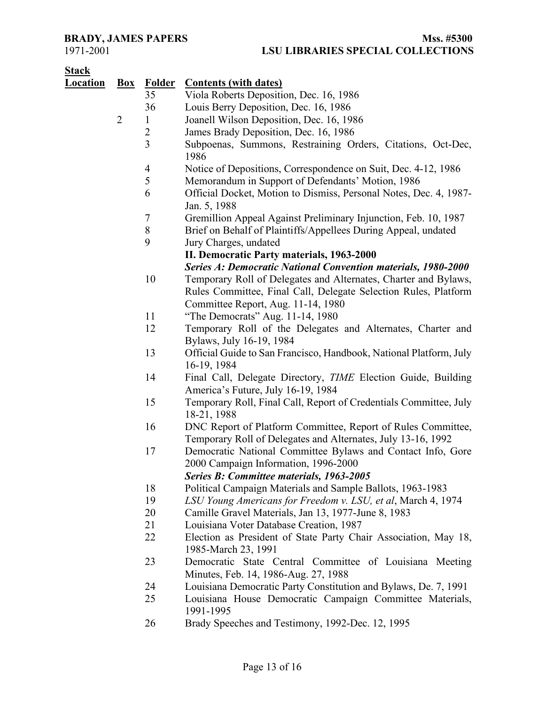| <b>Stack</b>    |                |                  |                                                                                                                              |
|-----------------|----------------|------------------|------------------------------------------------------------------------------------------------------------------------------|
| <b>Location</b> | $Box$          | <b>Folder</b>    | <b>Contents (with dates)</b>                                                                                                 |
|                 |                | 35               | Viola Roberts Deposition, Dec. 16, 1986                                                                                      |
|                 |                | 36               | Louis Berry Deposition, Dec. 16, 1986                                                                                        |
|                 | $\overline{2}$ | 1                | Joanell Wilson Deposition, Dec. 16, 1986                                                                                     |
|                 |                | $\overline{2}$   | James Brady Deposition, Dec. 16, 1986                                                                                        |
|                 |                | $\overline{3}$   | Subpoenas, Summons, Restraining Orders, Citations, Oct-Dec,<br>1986                                                          |
|                 |                | $\overline{4}$   | Notice of Depositions, Correspondence on Suit, Dec. 4-12, 1986                                                               |
|                 |                | 5                | Memorandum in Support of Defendants' Motion, 1986                                                                            |
|                 |                | 6                | Official Docket, Motion to Dismiss, Personal Notes, Dec. 4, 1987-<br>Jan. 5, 1988                                            |
|                 |                | $\boldsymbol{7}$ | Gremillion Appeal Against Preliminary Injunction, Feb. 10, 1987                                                              |
|                 |                | $8\,$            | Brief on Behalf of Plaintiffs/Appellees During Appeal, undated                                                               |
|                 |                | 9                | Jury Charges, undated                                                                                                        |
|                 |                |                  | II. Democratic Party materials, 1963-2000                                                                                    |
|                 |                |                  | <b>Series A: Democratic National Convention materials, 1980-2000</b>                                                         |
|                 |                | 10               | Temporary Roll of Delegates and Alternates, Charter and Bylaws,                                                              |
|                 |                |                  | Rules Committee, Final Call, Delegate Selection Rules, Platform                                                              |
|                 |                |                  | Committee Report, Aug. 11-14, 1980                                                                                           |
|                 |                | 11               | "The Democrats" Aug. 11-14, 1980                                                                                             |
|                 |                | 12               | Temporary Roll of the Delegates and Alternates, Charter and<br>Bylaws, July 16-19, 1984                                      |
|                 |                | 13               | Official Guide to San Francisco, Handbook, National Platform, July<br>16-19, 1984                                            |
|                 |                | 14               | Final Call, Delegate Directory, TIME Election Guide, Building                                                                |
|                 |                |                  | America's Future, July 16-19, 1984                                                                                           |
|                 |                | 15               | Temporary Roll, Final Call, Report of Credentials Committee, July<br>18-21, 1988                                             |
|                 |                | 16               | DNC Report of Platform Committee, Report of Rules Committee,<br>Temporary Roll of Delegates and Alternates, July 13-16, 1992 |
|                 |                | 17               | Democratic National Committee Bylaws and Contact Info, Gore<br>2000 Campaign Information, 1996-2000                          |
|                 |                |                  | <b>Series B: Committee materials, 1963-2005</b>                                                                              |
|                 |                | 18               | Political Campaign Materials and Sample Ballots, 1963-1983                                                                   |
|                 |                | 19               | LSU Young Americans for Freedom v. LSU, et al, March 4, 1974                                                                 |
|                 |                | 20               | Camille Gravel Materials, Jan 13, 1977-June 8, 1983                                                                          |
|                 |                | 21               | Louisiana Voter Database Creation, 1987                                                                                      |
|                 |                | 22               | Election as President of State Party Chair Association, May 18,<br>1985-March 23, 1991                                       |
|                 |                | 23               | Democratic State Central Committee of Louisiana Meeting<br>Minutes, Feb. 14, 1986-Aug. 27, 1988                              |
|                 |                | 24               | Louisiana Democratic Party Constitution and Bylaws, De. 7, 1991                                                              |
|                 |                | 25               | Louisiana House Democratic Campaign Committee Materials,<br>1991-1995                                                        |
|                 |                | 26               | Brady Speeches and Testimony 1992-Dec 12 1995                                                                                |

26 Brady Speeches and Testimony, 1992-Dec. 12, 1995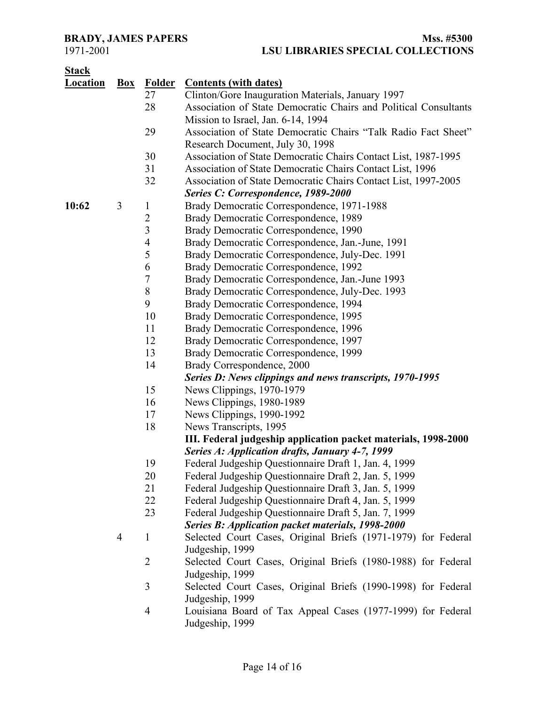# **BRADY, JAMES PAPERS**<br>1971-2001<br>**LSU LIBRARIES SPECIAL COLLECTIONS** 1971-2001 **LSU LIBRARIES SPECIAL COLLECTIONS**

| Ր<br>тя<br>16<br>ъ. |  |
|---------------------|--|
|                     |  |

| <u>Location</u> | $Box$ | <b>Folder</b>  | <b>Contents (with dates)</b>                                     |
|-----------------|-------|----------------|------------------------------------------------------------------|
|                 |       | 27             | Clinton/Gore Inauguration Materials, January 1997                |
|                 |       | 28             | Association of State Democratic Chairs and Political Consultants |
|                 |       |                | Mission to Israel, Jan. 6-14, 1994                               |
|                 |       | 29             | Association of State Democratic Chairs "Talk Radio Fact Sheet"   |
|                 |       |                | Research Document, July 30, 1998                                 |
|                 |       | 30             | Association of State Democratic Chairs Contact List, 1987-1995   |
|                 |       | 31             | Association of State Democratic Chairs Contact List, 1996        |
|                 |       | 32             | Association of State Democratic Chairs Contact List, 1997-2005   |
|                 |       |                | Series C: Correspondence, 1989-2000                              |
| 10:62           | 3     | $\mathbf{1}$   | Brady Democratic Correspondence, 1971-1988                       |
|                 |       | $\overline{2}$ | Brady Democratic Correspondence, 1989                            |
|                 |       | $\overline{3}$ | Brady Democratic Correspondence, 1990                            |
|                 |       | 4              | Brady Democratic Correspondence, Jan.-June, 1991                 |
|                 |       | 5              | Brady Democratic Correspondence, July-Dec. 1991                  |
|                 |       | 6              | Brady Democratic Correspondence, 1992                            |
|                 |       | 7              | Brady Democratic Correspondence, Jan.-June 1993                  |
|                 |       | $\,$ $\,$      | Brady Democratic Correspondence, July-Dec. 1993                  |
|                 |       | 9              | Brady Democratic Correspondence, 1994                            |
|                 |       | 10             | Brady Democratic Correspondence, 1995                            |
|                 |       | 11             | Brady Democratic Correspondence, 1996                            |
|                 |       | 12             | Brady Democratic Correspondence, 1997                            |
|                 |       | 13             | Brady Democratic Correspondence, 1999                            |
|                 |       | 14             | Brady Correspondence, 2000                                       |
|                 |       |                | Series D: News clippings and news transcripts, 1970-1995         |
|                 |       | 15             | News Clippings, 1970-1979                                        |
|                 |       | 16             | News Clippings, 1980-1989                                        |
|                 |       | 17             | News Clippings, 1990-1992                                        |
|                 |       | 18             | News Transcripts, 1995                                           |
|                 |       |                | III. Federal judgeship application packet materials, 1998-2000   |
|                 |       |                | Series A: Application drafts, January 4-7, 1999                  |
|                 |       | 19             | Federal Judgeship Questionnaire Draft 1, Jan. 4, 1999            |
|                 |       | 20             | Federal Judgeship Questionnaire Draft 2, Jan. 5, 1999            |
|                 |       | 21             | Federal Judgeship Questionnaire Draft 3, Jan. 5, 1999            |
|                 |       | 22             | Federal Judgeship Questionnaire Draft 4, Jan. 5, 1999            |
|                 |       | 23             | Federal Judgeship Questionnaire Draft 5, Jan. 7, 1999            |
|                 |       |                | <b>Series B: Application packet materials, 1998-2000</b>         |
|                 | 4     | $\mathbf{1}$   | Selected Court Cases, Original Briefs (1971-1979) for Federal    |
|                 |       |                | Judgeship, 1999                                                  |
|                 |       | $\overline{2}$ | Selected Court Cases, Original Briefs (1980-1988) for Federal    |
|                 |       |                | Judgeship, 1999                                                  |
|                 |       | 3              | Selected Court Cases, Original Briefs (1990-1998) for Federal    |
|                 |       |                | Judgeship, 1999                                                  |
|                 |       | 4              | Louisiana Board of Tax Appeal Cases (1977-1999) for Federal      |
|                 |       |                | Judgeship, 1999                                                  |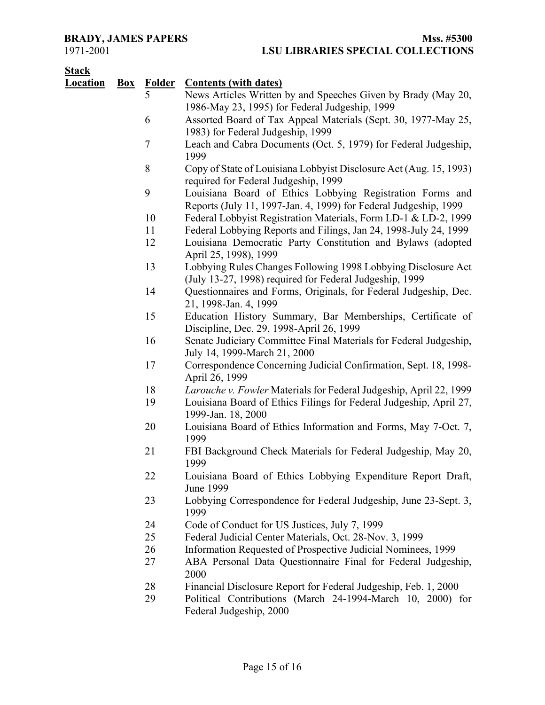# **Stack**

| <u> Əlack</u>   |       |                                 |                                                                                                            |
|-----------------|-------|---------------------------------|------------------------------------------------------------------------------------------------------------|
| <b>Location</b> | $Box$ | <b>Folder</b><br>$\overline{5}$ | <b>Contents (with dates)</b>                                                                               |
|                 |       |                                 | News Articles Written by and Speeches Given by Brady (May 20,                                              |
|                 |       | 6                               | 1986-May 23, 1995) for Federal Judgeship, 1999                                                             |
|                 |       |                                 | Assorted Board of Tax Appeal Materials (Sept. 30, 1977-May 25,<br>1983) for Federal Judgeship, 1999        |
|                 |       | $\tau$                          |                                                                                                            |
|                 |       |                                 | Leach and Cabra Documents (Oct. 5, 1979) for Federal Judgeship,<br>1999                                    |
|                 |       | 8                               | Copy of State of Louisiana Lobbyist Disclosure Act (Aug. 15, 1993)<br>required for Federal Judgeship, 1999 |
|                 |       | 9                               | Louisiana Board of Ethics Lobbying Registration Forms and                                                  |
|                 |       |                                 | Reports (July 11, 1997-Jan. 4, 1999) for Federal Judgeship, 1999                                           |
|                 |       | 10                              | Federal Lobbyist Registration Materials, Form LD-1 & LD-2, 1999                                            |
|                 |       | 11                              | Federal Lobbying Reports and Filings, Jan 24, 1998-July 24, 1999                                           |
|                 |       | 12                              | Louisiana Democratic Party Constitution and Bylaws (adopted<br>April 25, 1998), 1999                       |
|                 |       | 13                              | Lobbying Rules Changes Following 1998 Lobbying Disclosure Act                                              |
|                 |       |                                 | (July 13-27, 1998) required for Federal Judgeship, 1999                                                    |
|                 |       | 14                              | Questionnaires and Forms, Originals, for Federal Judgeship, Dec.                                           |
|                 |       |                                 | 21, 1998-Jan. 4, 1999                                                                                      |
|                 |       | 15                              | Education History Summary, Bar Memberships, Certificate of                                                 |
|                 |       |                                 | Discipline, Dec. 29, 1998-April 26, 1999                                                                   |
|                 |       | 16                              | Senate Judiciary Committee Final Materials for Federal Judgeship,                                          |
|                 |       |                                 | July 14, 1999-March 21, 2000                                                                               |
|                 |       | 17                              | Correspondence Concerning Judicial Confirmation, Sept. 18, 1998-                                           |
|                 |       |                                 | April 26, 1999                                                                                             |
|                 |       | 18                              | Larouche v. Fowler Materials for Federal Judgeship, April 22, 1999                                         |
|                 |       | 19                              | Louisiana Board of Ethics Filings for Federal Judgeship, April 27,<br>1999-Jan. 18, 2000                   |
|                 |       | 20                              | Louisiana Board of Ethics Information and Forms, May 7-Oct. 7,                                             |
|                 |       |                                 | 1999                                                                                                       |
|                 |       | 21                              | FBI Background Check Materials for Federal Judgeship, May 20,<br>1999                                      |
|                 |       | 22                              | Louisiana Board of Ethics Lobbying Expenditure Report Draft,<br><b>June 1999</b>                           |
|                 |       | 23                              | Lobbying Correspondence for Federal Judgeship, June 23-Sept. 3,<br>1999                                    |
|                 |       | 24                              | Code of Conduct for US Justices, July 7, 1999                                                              |
|                 |       | 25                              | Federal Judicial Center Materials, Oct. 28-Nov. 3, 1999                                                    |
|                 |       | 26                              | Information Requested of Prospective Judicial Nominees, 1999                                               |
|                 |       | 27                              | ABA Personal Data Questionnaire Final for Federal Judgeship,<br>2000                                       |
|                 |       | 28                              | Financial Disclosure Report for Federal Judgeship, Feb. 1, 2000                                            |
|                 |       | 29                              | Political Contributions (March 24-1994-March 10, 2000) for<br>Federal Judgeship, 2000                      |